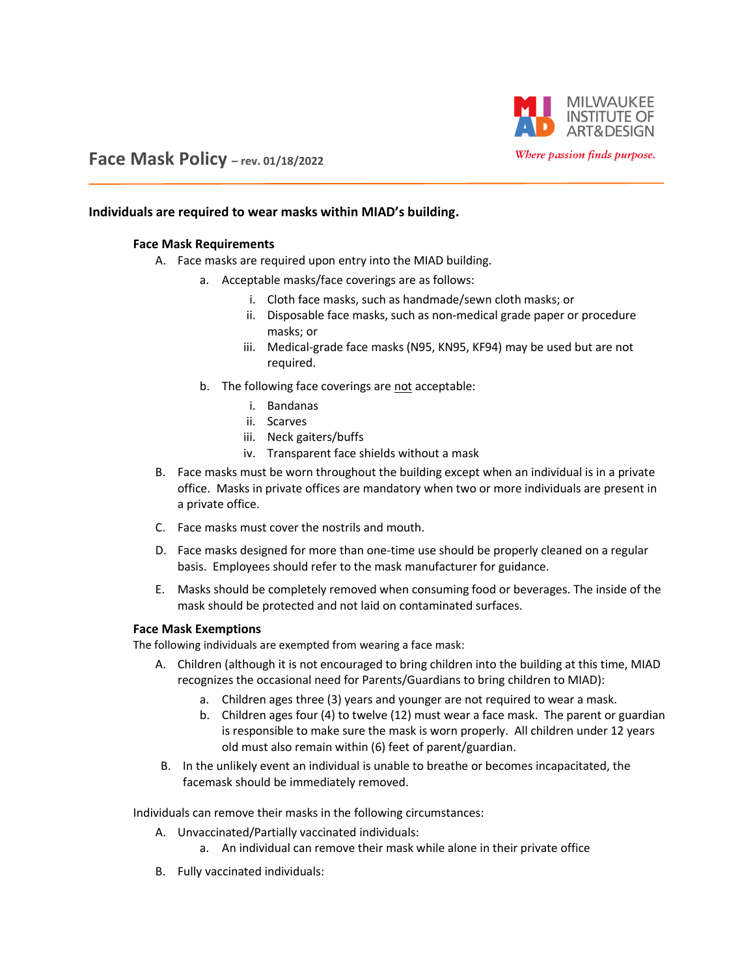

# **Face Mask Policy – rev. 01/18/2022**

### **Individuals are required to wear masks within MIAD's building.**

#### **Face Mask Requirements**

- A. Face masks are required upon entry into the MIAD building.
	- a. Acceptable masks/face coverings are as follows:
		- i. Cloth face masks, such as handmade/sewn cloth masks; or
		- ii. Disposable face masks, such as non-medical grade paper or procedure masks; or
		- iii. Medical-grade face masks (N95, KN95, KF94) may be used but are not required.
	- b. The following face coverings are not acceptable:
		- i. Bandanas
		- ii. Scarves
		- iii. Neck gaiters/buffs
		- iv. Transparent face shields without a mask
- B. Face masks must be worn throughout the building except when an individual is in a private office. Masks in private offices are mandatory when two or more individuals are present in a private office.
- C. Face masks must cover the nostrils and mouth.
- D. Face masks designed for more than one-time use should be properly cleaned on a regular basis. Employees should refer to the mask manufacturer for guidance.
- E. Masks should be completely removed when consuming food or beverages. The inside of the mask should be protected and not laid on contaminated surfaces.

#### **Face Mask Exemptions**

The following individuals are exempted from wearing a face mask:

- A. Children (although it is not encouraged to bring children into the building at this time, MIAD recognizes the occasional need for Parents/Guardians to bring children to MIAD):
	- a. Children ages three (3) years and younger are not required to wear a mask.
	- b. Children ages four (4) to twelve (12) must wear a face mask. The parent or guardian is responsible to make sure the mask is worn properly. All children under 12 years old must also remain within (6) feet of parent/guardian.
- B. In the unlikely event an individual is unable to breathe or becomes incapacitated, the facemask should be immediately removed.

Individuals can remove their masks in the following circumstances:

- A. Unvaccinated/Partially vaccinated individuals:
	- a. An individual can remove their mask while alone in their private office
- B. Fully vaccinated individuals: